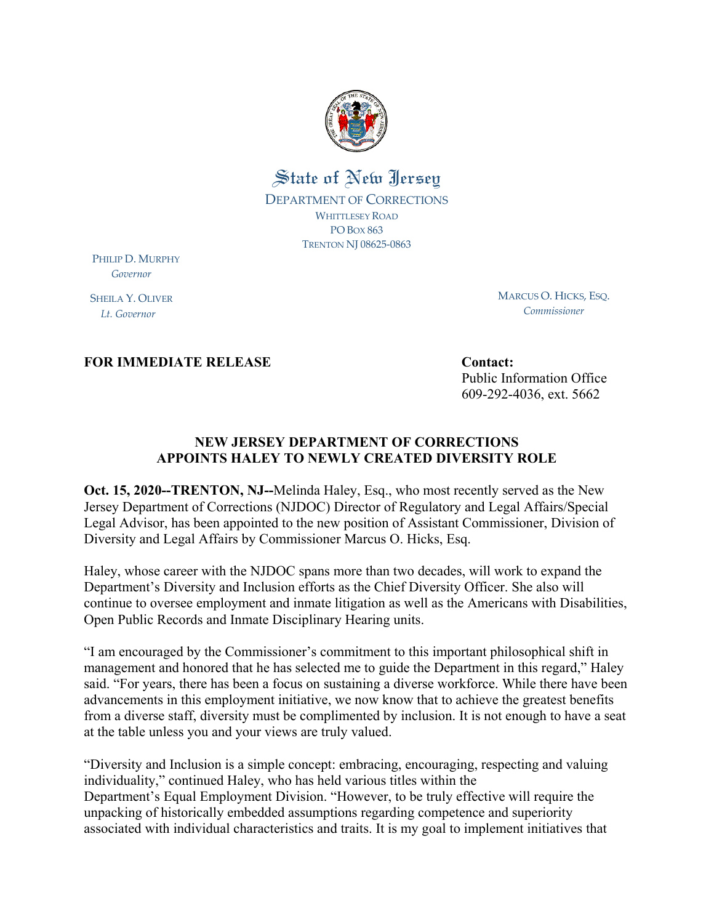

## State of New Jersey DEPARTMENT OF CORRECTIONS WHITTLESEY ROAD PO BOX 863 TRENTON NJ 08625‐0863

PHILIP D. MURPHY  *Governor*

SHEILA Y. OLIVER  *Lt. Governor*

MARCUS O. HICKS, ESQ. *Commissioner*

**FOR IMMEDIATE RELEASE CONTACT:** Contact:

Public Information Office 609-292-4036, ext. 5662

## **NEW JERSEY DEPARTMENT OF CORRECTIONS APPOINTS HALEY TO NEWLY CREATED DIVERSITY ROLE**

**Oct. 15, 2020--TRENTON, NJ--**Melinda Haley, Esq., who most recently served as the New Jersey Department of Corrections (NJDOC) Director of Regulatory and Legal Affairs/Special Legal Advisor, has been appointed to the new position of Assistant Commissioner, Division of Diversity and Legal Affairs by Commissioner Marcus O. Hicks, Esq.

Haley, whose career with the NJDOC spans more than two decades, will work to expand the Department's Diversity and Inclusion efforts as the Chief Diversity Officer. She also will continue to oversee employment and inmate litigation as well as the Americans with Disabilities, Open Public Records and Inmate Disciplinary Hearing units.

"I am encouraged by the Commissioner's commitment to this important philosophical shift in management and honored that he has selected me to guide the Department in this regard," Haley said. "For years, there has been a focus on sustaining a diverse workforce. While there have been advancements in this employment initiative, we now know that to achieve the greatest benefits from a diverse staff, diversity must be complimented by inclusion. It is not enough to have a seat at the table unless you and your views are truly valued.

"Diversity and Inclusion is a simple concept: embracing, encouraging, respecting and valuing individuality," continued Haley, who has held various titles within the Department's Equal Employment Division. "However, to be truly effective will require the unpacking of historically embedded assumptions regarding competence and superiority associated with individual characteristics and traits. It is my goal to implement initiatives that